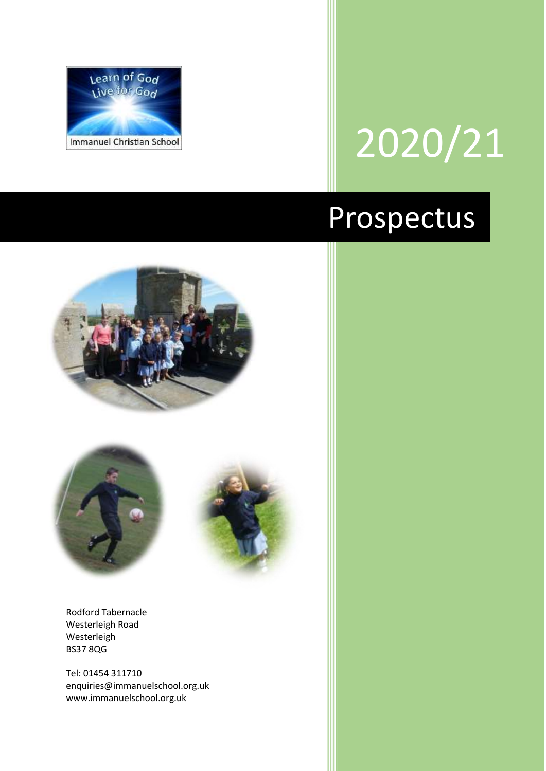

# 2020/21

# Prospectus







Rodford Tabernacle Westerleigh Road Westerleigh BS37 8QG

[Tel: 01454](tel:01454) 311710 enquiries@immanuelschool.org.uk www.immanuelschool.org.uk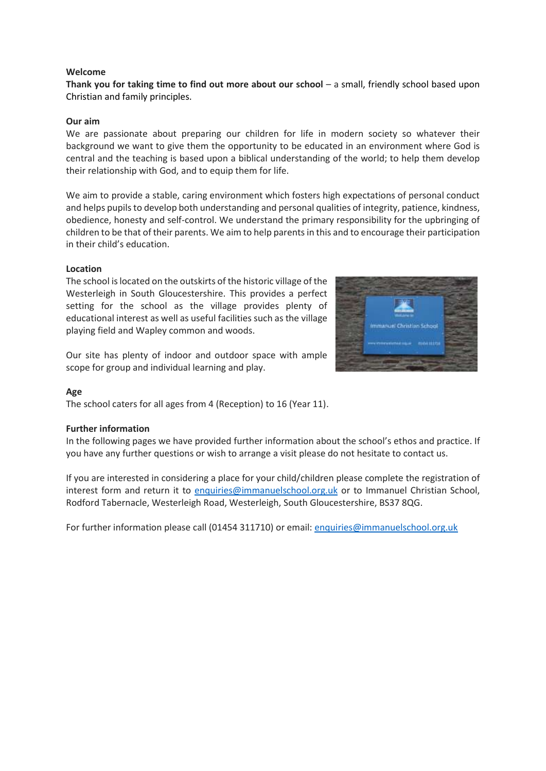#### **Welcome**

**Thank you for taking time to find out more about our school** – a small, friendly school based upon Christian and family principles.

#### **Our aim**

We are passionate about preparing our children for life in modern society so whatever their background we want to give them the opportunity to be educated in an environment where God is central and the teaching is based upon a biblical understanding of the world; to help them develop their relationship with God, and to equip them for life.

We aim to provide a stable, caring environment which fosters high expectations of personal conduct and helps pupils to develop both understanding and personal qualities of integrity, patience, kindness, obedience, honesty and self-control. We understand the primary responsibility for the upbringing of children to be that of their parents. We aim to help parents in this and to encourage their participation in their child's education.

#### **Location**

The school is located on the outskirts of the historic village of the Westerleigh in South Gloucestershire. This provides a perfect setting for the school as the village provides plenty of educational interest as well as useful facilities such as the village playing field and Wapley common and woods.



Our site has plenty of indoor and outdoor space with ample scope for group and individual learning and play.

#### **Age**

The school caters for all ages from 4 (Reception) to 16 (Year 11).

#### **Further information**

In the following pages we have provided further information about the school's ethos and practice. If you have any further questions or wish to arrange a visit please do not hesitate to contact us.

If you are interested in considering a place for your child/children please complete the registration of interest form and return it to [enquiries@immanuelschool.org.uk](mailto:enquiries@immanuelschool.org.uk) or to Immanuel Christian School, Rodford Tabernacle, Westerleigh Road, Westerleigh, South Gloucestershire, BS37 8QG.

For further information please call (01454 311710) or email: [enquiries@](mailto:enquiries)immanuelschool.org.uk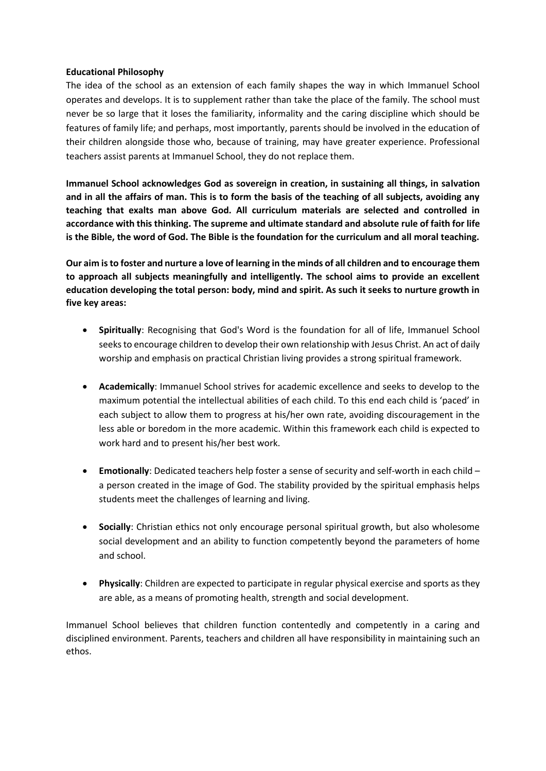#### **Educational Philosophy**

The idea of the school as an extension of each family shapes the way in which Immanuel School operates and develops. It is to supplement rather than take the place of the family. The school must never be so large that it loses the familiarity, informality and the caring discipline which should be features of family life; and perhaps, most importantly, parents should be involved in the education of their children alongside those who, because of training, may have greater experience. Professional teachers assist parents at Immanuel School, they do not replace them.

**Immanuel School acknowledges God as sovereign in creation, in sustaining all things, in salvation and in all the affairs of man. This is to form the basis of the teaching of all subjects, avoiding any teaching that exalts man above God. All curriculum materials are selected and controlled in accordance with this thinking. The supreme and ultimate standard and absolute rule of faith for life is the Bible, the word of God. The Bible is the foundation for the curriculum and all moral teaching.** 

**Our aim is to foster and nurture a love of learning in the minds of all children and to encourage them to approach all subjects meaningfully and intelligently. The school aims to provide an excellent education developing the total person: body, mind and spirit. As such it seeks to nurture growth in five key areas:**

- **Spiritually**: Recognising that God's Word is the foundation for all of life, Immanuel School seeks to encourage children to develop their own relationship with Jesus Christ. An act of daily worship and emphasis on practical Christian living provides a strong spiritual framework.
- **Academically**: Immanuel School strives for academic excellence and seeks to develop to the maximum potential the intellectual abilities of each child. To this end each child is 'paced' in each subject to allow them to progress at his/her own rate, avoiding discouragement in the less able or boredom in the more academic. Within this framework each child is expected to work hard and to present his/her best work.
- **Emotionally**: Dedicated teachers help foster a sense of security and self-worth in each child a person created in the image of God. The stability provided by the spiritual emphasis helps students meet the challenges of learning and living.
- **Socially**: Christian ethics not only encourage personal spiritual growth, but also wholesome social development and an ability to function competently beyond the parameters of home and school.
- **Physically**: Children are expected to participate in regular physical exercise and sports as they are able, as a means of promoting health, strength and social development.

Immanuel School believes that children function contentedly and competently in a caring and disciplined environment. Parents, teachers and children all have responsibility in maintaining such an ethos.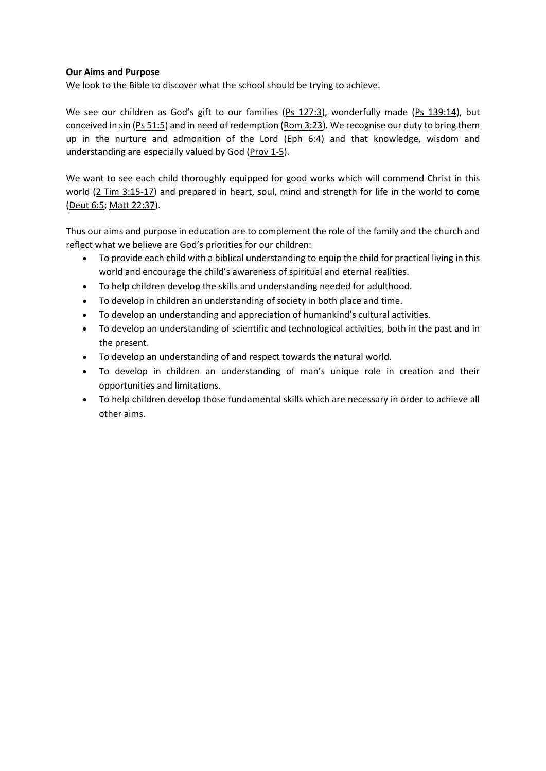#### **Our Aims and Purpose**

We look to the Bible to discover what the school should be trying to achieve.

We see our children as God's gift to our families ([Ps 127:3\)](http://www.biblegateway.com/passage/?search=Ps%20127:3&version=NKJV), wonderfully made [\(Ps 139:14\)](http://www.biblegateway.com/passage/?search=Ps%20139:14&version=NKJV), but conceived in sin [\(Ps 51:5\)](http://www.biblegateway.com/passage/?search=Ps%2051:5&version=NKJV) and in need of redemption [\(Rom 3:23\)](http://www.biblegateway.com/passage/?search=Rom%203:23&version=NKJV). We recognise our duty to bring them up in the nurture and admonition of the Lord  $(\underline{Eph 6:4})$  and that knowledge, wisdom and understanding are especially valued by God [\(Prov 1-5\)](http://www.biblegateway.com/passage/?search=Prov%201-5&version=NKJV).

We want to see each child thoroughly equipped for good works which will commend Christ in this world [\(2 Tim 3:15-17\)](http://www.biblegateway.com/passage/?search=2%20Tim%203:15-17&version=NKJV) and prepared in heart, soul, mind and strength for life in the world to come [\(Deut 6:5;](http://www.biblegateway.com/passage/?search=Deut%206:5&version=NKJV) [Matt 22:37\)](http://www.biblegateway.com/passage/?search=Matt%2022:37&version=NKJV).

Thus our aims and purpose in education are to complement the role of the family and the church and reflect what we believe are God's priorities for our children:

- To provide each child with a biblical understanding to equip the child for practical living in this world and encourage the child's awareness of spiritual and eternal realities.
- To help children develop the skills and understanding needed for adulthood.
- To develop in children an understanding of society in both place and time.
- To develop an understanding and appreciation of humankind's cultural activities.
- To develop an understanding of scientific and technological activities, both in the past and in the present.
- To develop an understanding of and respect towards the natural world.
- To develop in children an understanding of man's unique role in creation and their opportunities and limitations.
- To help children develop those fundamental skills which are necessary in order to achieve all other aims.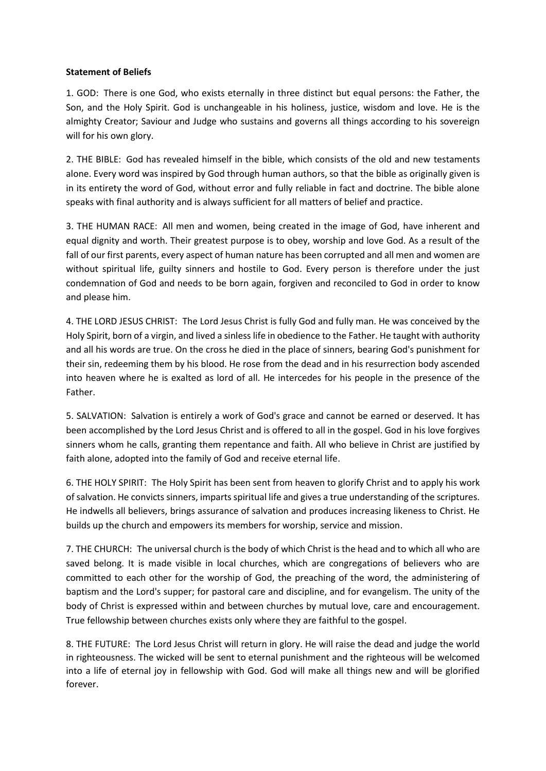#### **Statement of Beliefs**

1. GOD: There is one God, who exists eternally in three distinct but equal persons: the Father, the Son, and the Holy Spirit. God is unchangeable in his holiness, justice, wisdom and love. He is the almighty Creator; Saviour and Judge who sustains and governs all things according to his sovereign will for his own glory.

2. THE BIBLE: God has revealed himself in the bible, which consists of the old and new testaments alone. Every word was inspired by God through human authors, so that the bible as originally given is in its entirety the word of God, without error and fully reliable in fact and doctrine. The bible alone speaks with final authority and is always sufficient for all matters of belief and practice.

3. THE HUMAN RACE: All men and women, being created in the image of God, have inherent and equal dignity and worth. Their greatest purpose is to obey, worship and love God. As a result of the fall of our first parents, every aspect of human nature has been corrupted and all men and women are without spiritual life, guilty sinners and hostile to God. Every person is therefore under the just condemnation of God and needs to be born again, forgiven and reconciled to God in order to know and please him.

4. THE LORD JESUS CHRIST: The Lord Jesus Christ is fully God and fully man. He was conceived by the Holy Spirit, born of a virgin, and lived a sinless life in obedience to the Father. He taught with authority and all his words are true. On the cross he died in the place of sinners, bearing God's punishment for their sin, redeeming them by his blood. He rose from the dead and in his resurrection body ascended into heaven where he is exalted as lord of all. He intercedes for his people in the presence of the Father.

5. SALVATION: Salvation is entirely a work of God's grace and cannot be earned or deserved. It has been accomplished by the Lord Jesus Christ and is offered to all in the gospel. God in his love forgives sinners whom he calls, granting them repentance and faith. All who believe in Christ are justified by faith alone, adopted into the family of God and receive eternal life.

6. THE HOLY SPIRIT: The Holy Spirit has been sent from heaven to glorify Christ and to apply his work of salvation. He convicts sinners, imparts spiritual life and gives a true understanding of the scriptures. He indwells all believers, brings assurance of salvation and produces increasing likeness to Christ. He builds up the church and empowers its members for worship, service and mission.

7. THE CHURCH: The universal church is the body of which Christ is the head and to which all who are saved belong. It is made visible in local churches, which are congregations of believers who are committed to each other for the worship of God, the preaching of the word, the administering of baptism and the Lord's supper; for pastoral care and discipline, and for evangelism. The unity of the body of Christ is expressed within and between churches by mutual love, care and encouragement. True fellowship between churches exists only where they are faithful to the gospel.

8. THE FUTURE: The Lord Jesus Christ will return in glory. He will raise the dead and judge the world in righteousness. The wicked will be sent to eternal punishment and the righteous will be welcomed into a life of eternal joy in fellowship with God. God will make all things new and will be glorified forever.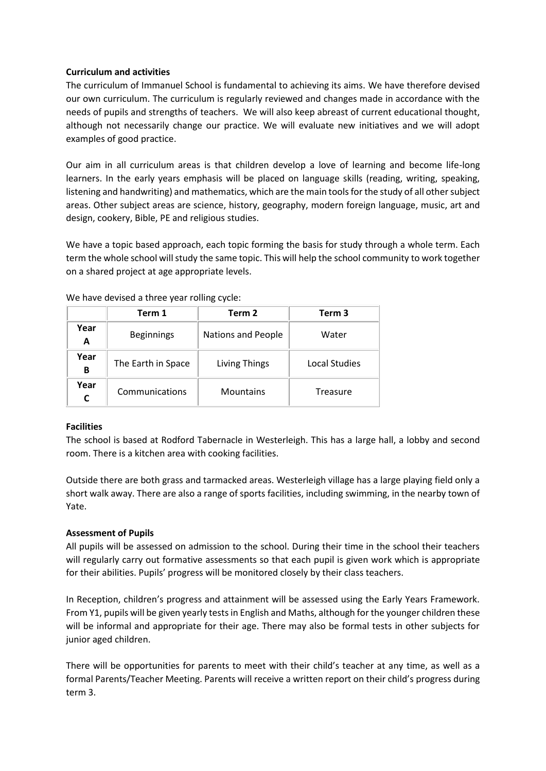#### **[Curriculum](http://www.bethany.sheffield.sch.uk/curriculum/outline/) and activities**

The curriculum of Immanuel School is fundamental to achieving its aims. We have therefore devised our own curriculum. The curriculum is regularly reviewed and changes made in accordance with the needs of pupils and strengths of teachers. We will also keep abreast of current educational thought, although not necessarily change our practice. We will evaluate new initiatives and we will adopt examples of good practice.

Our aim in all curriculum areas is that children develop a love of learning and become life-long learners. In the early years emphasis will be placed on language skills (reading, writing, speaking, listening and handwriting) and mathematics, which are the main tools for the study of all other subject areas. Other subject areas are science, history, geography, modern foreign language, music, art and design, cookery, Bible, PE and religious studies.

We have a topic based approach, each topic forming the basis for study through a whole term. Each term the whole school will study the same topic. This will help the school community to work together on a shared project at age appropriate levels.

|           | Term 1             | Term 2             | Term 3        |
|-----------|--------------------|--------------------|---------------|
| Year<br>A | <b>Beginnings</b>  | Nations and People | Water         |
| Year<br>В | The Earth in Space | Living Things      | Local Studies |
| Year      | Communications     | <b>Mountains</b>   | Treasure      |

We have devised a three year rolling cycle:

#### **Facilities**

The school is based at Rodford Tabernacle in Westerleigh. This has a large hall, a lobby and second room. There is a kitchen area with cooking facilities.

Outside there are both grass and tarmacked areas. Westerleigh village has a large playing field only a short walk away. There are also a range of sports facilities, including swimming, in the nearby town of Yate.

#### **Assessment of Pupils**

All pupils will be assessed on admission to the school. During their time in the school their teachers will regularly carry out formative assessments so that each pupil is given work which is appropriate for their abilities. Pupils' progress will be monitored closely by their class teachers.

In Reception, children's progress and attainment will be assessed using the Early Years Framework. From Y1, pupils will be given yearly tests in English and Maths, although for the younger children these will be informal and appropriate for their age. There may also be formal tests in other subjects for junior aged children.

There will be opportunities for parents to meet with their child's teacher at any time, as well as a formal Parents/Teacher Meeting. Parents will receive a written report on their child's progress during term 3.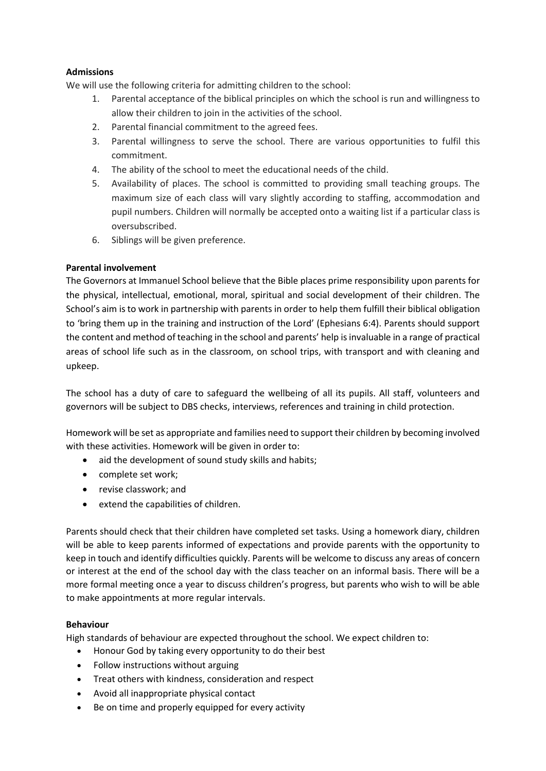#### **Admissions**

We will use the following criteria for admitting children to the school:

- 1. Parental acceptance of the biblical principles on which the school is run and willingness to allow their children to join in the activities of the school.
- 2. Parental financial commitment to the agreed fees.
- 3. Parental willingness to serve the school. There are various opportunities to fulfil this commitment.
- 4. The ability of the school to meet the educational needs of the child.
- 5. Availability of places. The school is committed to providing small teaching groups. The maximum size of each class will vary slightly according to staffing, accommodation and pupil numbers. Children will normally be accepted onto a waiting list if a particular class is oversubscribed.
- 6. Siblings will be given preference.

#### **Parental involvement**

The Governors at Immanuel School believe that the Bible places prime responsibility upon parents for the physical, intellectual, emotional, moral, spiritual and social development of their children. The School's aim is to work in partnership with parents in order to help them fulfill their biblical obligation to 'bring them up in the training and instruction of the Lord' (Ephesians 6:4). Parents should support the content and method of teaching in the school and parents' help is invaluable in a range of practical areas of school life such as in the classroom, on school trips, with transport and with cleaning and upkeep.

The school has a duty of care to safeguard the wellbeing of all its pupils. All staff, volunteers and governors will be subject to DBS checks, interviews, references and training in child protection.

Homework will be set as appropriate and families need to support their children by becoming involved with these activities. Homework will be given in order to:

- aid the development of sound study skills and habits;
- complete set work;
- revise classwork; and
- extend the capabilities of children.

Parents should check that their children have completed set tasks. Using a homework diary, children will be able to keep parents informed of expectations and provide parents with the opportunity to keep in touch and identify difficulties quickly. Parents will be welcome to discuss any areas of concern or interest at the end of the school day with the class teacher on an informal basis. There will be a more formal meeting once a year to discuss children's progress, but parents who wish to will be able to make appointments at more regular intervals.

#### **Behaviour**

High standards of behaviour are expected throughout the school. We expect children to:

- Honour God by taking every opportunity to do their best
- Follow instructions without arguing
- Treat others with kindness, consideration and respect
- Avoid all inappropriate physical contact
- Be on time and properly equipped for every activity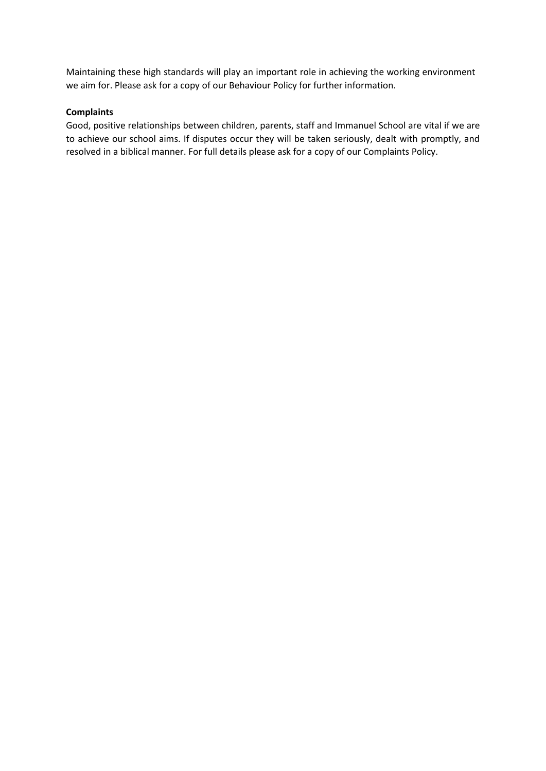Maintaining these high standards will play an important role in achieving the working environment we aim for. Please ask for a copy of our Behaviour Policy for further information.

#### **Complaints**

Good, positive relationships between children, parents, staff and Immanuel School are vital if we are to achieve our school aims. If disputes occur they will be taken seriously, dealt with promptly, and resolved in a biblical manner. For full details please ask for a copy of our Complaints Policy.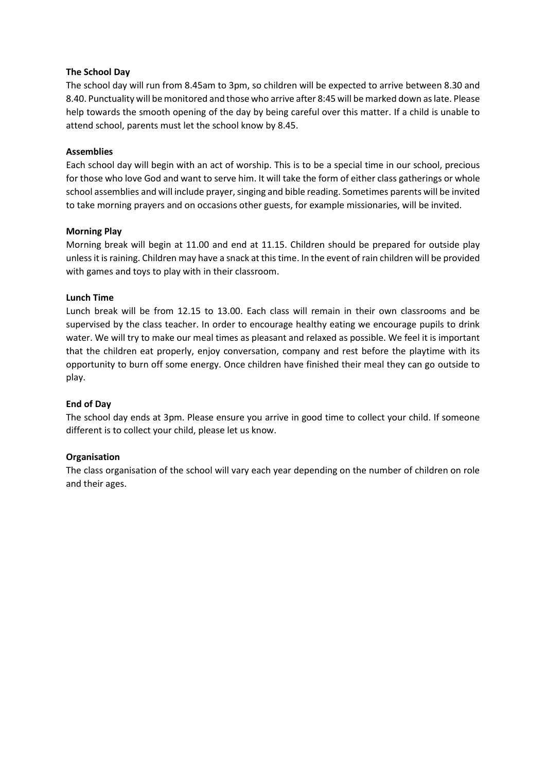#### **The School Day**

The school day will run from 8.45am to 3pm, so children will be expected to arrive between 8.30 and 8.40. Punctuality will be monitored and those who arrive after 8:45 will be marked down as late. Please help towards the smooth opening of the day by being careful over this matter. If a child is unable to attend school, parents must let the school know by 8.45.

#### **Assemblies**

Each school day will begin with an act of worship. This is to be a special time in our school, precious for those who love God and want to serve him. It will take the form of either class gatherings or whole school assemblies and will include prayer, singing and bible reading. Sometimes parents will be invited to take morning prayers and on occasions other guests, for example missionaries, will be invited.

#### **Morning Play**

Morning break will begin at 11.00 and end at 11.15. Children should be prepared for outside play unless it is raining. Children may have a snack at this time. In the event of rain children will be provided with games and toys to play with in their classroom.

#### **Lunch Time**

Lunch break will be from 12.15 to 13.00. Each class will remain in their own classrooms and be supervised by the class teacher. In order to encourage healthy eating we encourage pupils to drink water. We will try to make our meal times as pleasant and relaxed as possible. We feel it is important that the children eat properly, enjoy conversation, company and rest before the playtime with its opportunity to burn off some energy. Once children have finished their meal they can go outside to play.

#### **End of Day**

The school day ends at 3pm. Please ensure you arrive in good time to collect your child. If someone different is to collect your child, please let us know.

#### **Organisation**

The class organisation of the school will vary each year depending on the number of children on role and their ages.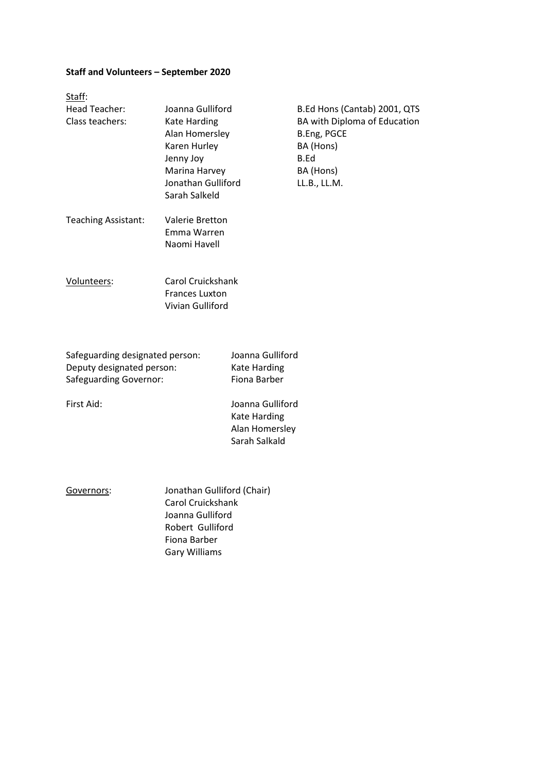### **Staff and Volunteers – September 2020**

| Staff:<br><b>Head Teacher:</b><br>Class teachers:                                             | Joanna Gulliford<br>Kate Harding<br>Alan Homersley<br>Karen Hurley<br>Jenny Joy<br>Marina Harvey<br>Jonathan Gulliford<br>Sarah Salkeld |                                                                     | B.Ed Hons (Cantab) 2001, QTS<br>BA with Diploma of Education<br>B.Eng, PGCE<br>BA (Hons)<br>B.Ed<br>BA (Hons)<br>LL.B., LL.M. |
|-----------------------------------------------------------------------------------------------|-----------------------------------------------------------------------------------------------------------------------------------------|---------------------------------------------------------------------|-------------------------------------------------------------------------------------------------------------------------------|
| Teaching Assistant:                                                                           | Valerie Bretton<br>Emma Warren<br>Naomi Havell                                                                                          |                                                                     |                                                                                                                               |
| Volunteers:                                                                                   | Carol Cruickshank<br><b>Frances Luxton</b><br><b>Vivian Gulliford</b>                                                                   |                                                                     |                                                                                                                               |
| Safeguarding designated person:<br>Deputy designated person:<br><b>Safeguarding Governor:</b> |                                                                                                                                         | Joanna Gulliford<br>Kate Harding<br>Fiona Barber                    |                                                                                                                               |
| First Aid:                                                                                    |                                                                                                                                         | Joanna Gulliford<br>Kate Harding<br>Alan Homersley<br>Sarah Salkald |                                                                                                                               |
| Governors:                                                                                    | Jonathan Gulliford (Chair)<br>Carol Cruickshank<br>Joanna Gulliford<br>Robert Gulliford                                                 |                                                                     |                                                                                                                               |

Fiona Barber Gary Williams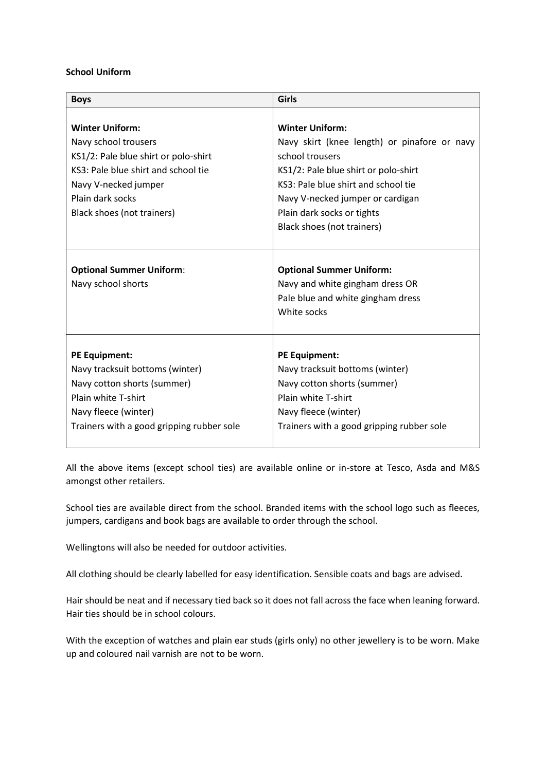#### **School Uniform**

| <b>Boys</b>                               | <b>Girls</b>                                 |  |  |
|-------------------------------------------|----------------------------------------------|--|--|
|                                           |                                              |  |  |
| <b>Winter Uniform:</b>                    | <b>Winter Uniform:</b>                       |  |  |
| Navy school trousers                      | Navy skirt (knee length) or pinafore or navy |  |  |
| KS1/2: Pale blue shirt or polo-shirt      | school trousers                              |  |  |
| KS3: Pale blue shirt and school tie       | KS1/2: Pale blue shirt or polo-shirt         |  |  |
| Navy V-necked jumper                      | KS3: Pale blue shirt and school tie          |  |  |
| Plain dark socks                          | Navy V-necked jumper or cardigan             |  |  |
| Black shoes (not trainers)                | Plain dark socks or tights                   |  |  |
|                                           | Black shoes (not trainers)                   |  |  |
|                                           |                                              |  |  |
|                                           |                                              |  |  |
| <b>Optional Summer Uniform:</b>           | <b>Optional Summer Uniform:</b>              |  |  |
| Navy school shorts                        | Navy and white gingham dress OR              |  |  |
|                                           | Pale blue and white gingham dress            |  |  |
|                                           | White socks                                  |  |  |
|                                           |                                              |  |  |
|                                           |                                              |  |  |
| <b>PE Equipment:</b>                      | <b>PE Equipment:</b>                         |  |  |
| Navy tracksuit bottoms (winter)           | Navy tracksuit bottoms (winter)              |  |  |
| Navy cotton shorts (summer)               | Navy cotton shorts (summer)                  |  |  |
| Plain white T-shirt                       | Plain white T-shirt                          |  |  |
| Navy fleece (winter)                      | Navy fleece (winter)                         |  |  |
| Trainers with a good gripping rubber sole | Trainers with a good gripping rubber sole    |  |  |
|                                           |                                              |  |  |

All the above items (except school ties) are available online or in-store at Tesco, Asda and M&S amongst other retailers.

School ties are available direct from the school. Branded items with the school logo such as fleeces, jumpers, cardigans and book bags are available to order through the school.

Wellingtons will also be needed for outdoor activities.

All clothing should be clearly labelled for easy identification. Sensible coats and bags are advised.

Hair should be neat and if necessary tied back so it does not fall across the face when leaning forward. Hair ties should be in school colours.

With the exception of watches and plain ear studs (girls only) no other jewellery is to be worn. Make up and coloured nail varnish are not to be worn.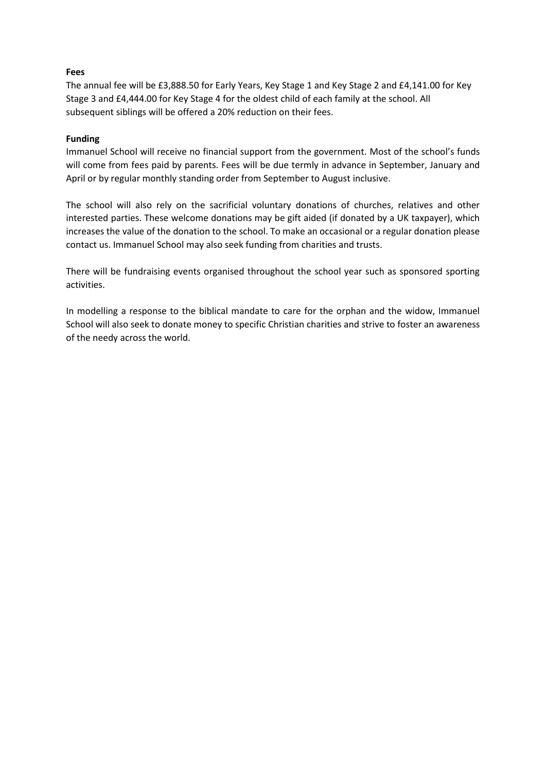#### **Fees**

The annual fee will be £3,888.50 for Early Years, Key Stage 1 and Key Stage 2 and £4,141.00 for Key Stage 3 and £4,444.00 for Key Stage 4 for the oldest child of each family at the school. All subsequent siblings will be offered a 20% reduction on their fees.

#### **Funding**

Immanuel School will receive no financial support from the government. Most of the school's funds will come from fees paid by parents. Fees will be due termly in advance in September, January and April or by regular monthly standing order from September to August inclusive.

The school will also rely on the sacrificial voluntary donations of churches, relatives and other interested parties. These welcome donations may be gift aided (if donated by a UK taxpayer), which increases the value of the donation to the school. To make an occasional or a regular donation please contact us. Immanuel School may also seek funding from charities and trusts.

There will be fundraising events organised throughout the school year such as sponsored sporting activities.

In modelling a response to the biblical mandate to care for the orphan and the widow, Immanuel School will also seek to donate money to specific Christian charities and strive to foster an awareness of the needy across the world.